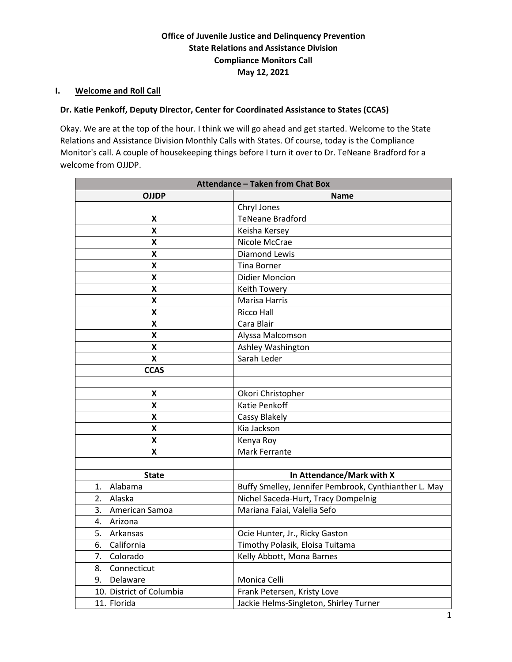# **Office of Juvenile Justice and Delinquency Prevention State Relations and Assistance Division Compliance Monitors Call May 12, 2021**

#### **I. Welcome and Roll Call**

## **Dr. Katie Penkoff, Deputy Director, Center for Coordinated Assistance to States (CCAS)**

Okay. We are at the top of the hour. I think we will go ahead and get started. Welcome to the State Relations and Assistance Division Monthly Calls with States. Of course, today is the Compliance Monitor's call. A couple of housekeeping things before I turn it over to Dr. TeNeane Bradford for a welcome from OJJDP.

| <b>Attendance - Taken from Chat Box</b> |                                                       |
|-----------------------------------------|-------------------------------------------------------|
| <b>OJJDP</b>                            | Name                                                  |
|                                         | Chryl Jones                                           |
| X                                       | <b>TeNeane Bradford</b>                               |
| X                                       | Keisha Kersey                                         |
| X                                       | Nicole McCrae                                         |
| X                                       | <b>Diamond Lewis</b>                                  |
| $\pmb{\mathsf{X}}$                      | <b>Tina Borner</b>                                    |
| $\pmb{\mathsf{X}}$                      | <b>Didier Moncion</b>                                 |
| $\pmb{\mathsf{X}}$                      | Keith Towery                                          |
| $\pmb{\mathsf{X}}$                      | Marisa Harris                                         |
| $\pmb{\mathsf{X}}$                      | Ricco Hall                                            |
| Χ                                       | Cara Blair                                            |
| Χ                                       | Alyssa Malcomson                                      |
| Χ                                       | Ashley Washington                                     |
| X                                       | Sarah Leder                                           |
| <b>CCAS</b>                             |                                                       |
|                                         |                                                       |
| Χ                                       | Okori Christopher                                     |
| $\pmb{\mathsf{X}}$                      | Katie Penkoff                                         |
| $\pmb{\mathsf{X}}$                      | Cassy Blakely                                         |
| X                                       | Kia Jackson                                           |
| X                                       | Kenya Roy                                             |
| X                                       | Mark Ferrante                                         |
|                                         |                                                       |
| <b>State</b>                            | In Attendance/Mark with X                             |
| Alabama<br>1.                           | Buffy Smelley, Jennifer Pembrook, Cynthianther L. May |
| 2.<br>Alaska                            | Nichel Saceda-Hurt, Tracy Dompelnig                   |
| 3. American Samoa                       | Mariana Faiai, Valelia Sefo                           |
| Arizona<br>4.                           |                                                       |
| Arkansas<br>5.                          | Ocie Hunter, Jr., Ricky Gaston                        |
| California<br>6.                        | Timothy Polasik, Eloisa Tuitama                       |
| Colorado<br>7.                          | Kelly Abbott, Mona Barnes                             |
| Connecticut<br>8.                       |                                                       |
| 9. Delaware                             | Monica Celli                                          |
| 10. District of Columbia                | Frank Petersen, Kristy Love                           |
| 11. Florida                             | Jackie Helms-Singleton, Shirley Turner                |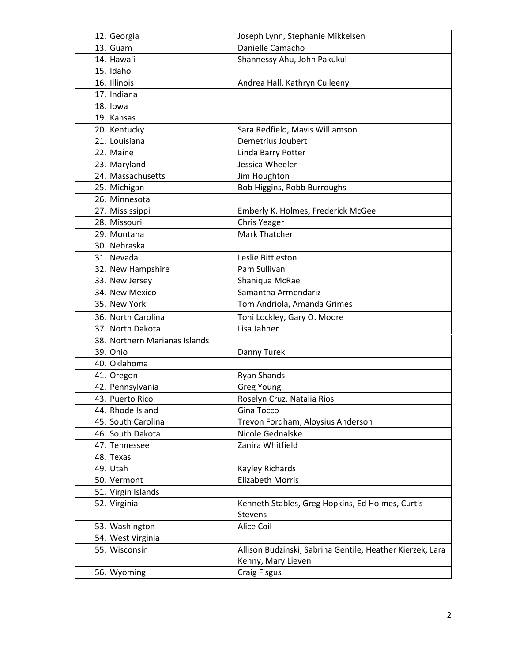| 12. Georgia                   | Joseph Lynn, Stephanie Mikkelsen                          |
|-------------------------------|-----------------------------------------------------------|
| 13. Guam                      | Danielle Camacho                                          |
| 14. Hawaii                    | Shannessy Ahu, John Pakukui                               |
| 15. Idaho                     |                                                           |
| 16. Illinois                  | Andrea Hall, Kathryn Culleeny                             |
| 17. Indiana                   |                                                           |
| 18. lowa                      |                                                           |
| 19. Kansas                    |                                                           |
| 20. Kentucky                  | Sara Redfield, Mavis Williamson                           |
| 21. Louisiana                 | Demetrius Joubert                                         |
| 22. Maine                     | Linda Barry Potter                                        |
| 23. Maryland                  | Jessica Wheeler                                           |
| 24. Massachusetts             | Jim Houghton                                              |
| 25. Michigan                  | Bob Higgins, Robb Burroughs                               |
| 26. Minnesota                 |                                                           |
| 27. Mississippi               | Emberly K. Holmes, Frederick McGee                        |
| 28. Missouri                  | Chris Yeager                                              |
| 29. Montana                   | <b>Mark Thatcher</b>                                      |
| 30. Nebraska                  |                                                           |
| 31. Nevada                    | Leslie Bittleston                                         |
| 32. New Hampshire             | Pam Sullivan                                              |
| 33. New Jersey                | Shaniqua McRae                                            |
| 34. New Mexico                | Samantha Armendariz                                       |
| 35. New York                  | Tom Andriola, Amanda Grimes                               |
| 36. North Carolina            | Toni Lockley, Gary O. Moore                               |
| 37. North Dakota              | Lisa Jahner                                               |
| 38. Northern Marianas Islands |                                                           |
| 39. Ohio                      | Danny Turek                                               |
| 40. Oklahoma                  |                                                           |
| 41. Oregon                    | <b>Ryan Shands</b>                                        |
| 42. Pennsylvania              | <b>Greg Young</b>                                         |
| 43. Puerto Rico               | Roselyn Cruz, Natalia Rios                                |
| 44. Rhode Island              | Gina Tocco                                                |
| 45. South Carolina            | Trevon Fordham, Aloysius Anderson                         |
| 46. South Dakota              | Nicole Gednalske                                          |
| 47. Tennessee                 | Zanira Whitfield                                          |
| 48. Texas                     |                                                           |
| 49. Utah                      | Kayley Richards                                           |
| 50. Vermont                   | <b>Elizabeth Morris</b>                                   |
| 51. Virgin Islands            |                                                           |
| 52. Virginia                  | Kenneth Stables, Greg Hopkins, Ed Holmes, Curtis          |
|                               | Stevens                                                   |
| 53. Washington                | Alice Coil                                                |
| 54. West Virginia             |                                                           |
| 55. Wisconsin                 | Allison Budzinski, Sabrina Gentile, Heather Kierzek, Lara |
|                               | Kenny, Mary Lieven                                        |
| 56. Wyoming                   | <b>Craig Fisgus</b>                                       |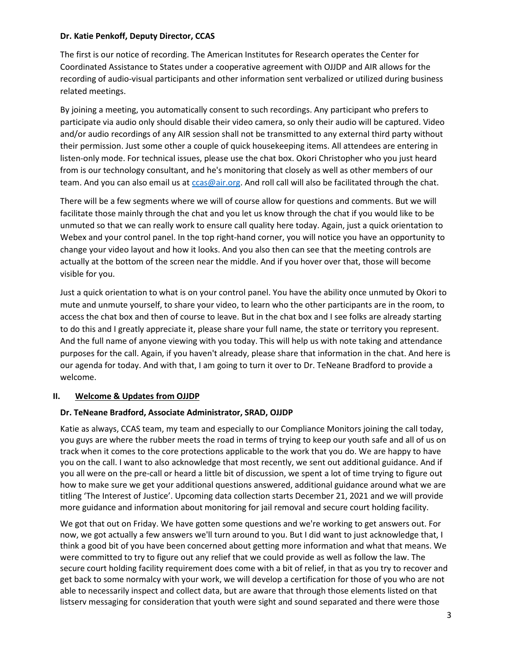#### **Dr. Katie Penkoff, Deputy Director, CCAS**

The first is our notice of recording. The American Institutes for Research operates the Center for Coordinated Assistance to States under a cooperative agreement with OJJDP and AIR allows for the recording of audio-visual participants and other information sent verbalized or utilized during business related meetings.

By joining a meeting, you automatically consent to such recordings. Any participant who prefers to participate via audio only should disable their video camera, so only their audio will be captured. Video and/or audio recordings of any AIR session shall not be transmitted to any external third party without their permission. Just some other a couple of quick housekeeping items. All attendees are entering in listen-only mode. For technical issues, please use the chat box. Okori Christopher who you just heard from is our technology consultant, and he's monitoring that closely as well as other members of our team. And you can also email us at [ccas@air.org.](file://dc1fs/dc1ehd/share/CCAS/Year%207/OJJDP%20Monthly%20Calls%20with%20the%20States/5.12.21/ccas@air.org) And roll call will also be facilitated through the chat.

There will be a few segments where we will of course allow for questions and comments. But we will facilitate those mainly through the chat and you let us know through the chat if you would like to be unmuted so that we can really work to ensure call quality here today. Again, just a quick orientation to Webex and your control panel. In the top right-hand corner, you will notice you have an opportunity to change your video layout and how it looks. And you also then can see that the meeting controls are actually at the bottom of the screen near the middle. And if you hover over that, those will become visible for you.

Just a quick orientation to what is on your control panel. You have the ability once unmuted by Okori to mute and unmute yourself, to share your video, to learn who the other participants are in the room, to access the chat box and then of course to leave. But in the chat box and I see folks are already starting to do this and I greatly appreciate it, please share your full name, the state or territory you represent. And the full name of anyone viewing with you today. This will help us with note taking and attendance purposes for the call. Again, if you haven't already, please share that information in the chat. And here is our agenda for today. And with that, I am going to turn it over to Dr. TeNeane Bradford to provide a welcome.

#### **II. Welcome & Updates from OJJDP**

#### **Dr. TeNeane Bradford, Associate Administrator, SRAD, OJJDP**

Katie as always, CCAS team, my team and especially to our Compliance Monitors joining the call today, you guys are where the rubber meets the road in terms of trying to keep our youth safe and all of us on track when it comes to the core protections applicable to the work that you do. We are happy to have you on the call. I want to also acknowledge that most recently, we sent out additional guidance. And if you all were on the pre-call or heard a little bit of discussion, we spent a lot of time trying to figure out how to make sure we get your additional questions answered, additional guidance around what we are titling 'The Interest of Justice'. Upcoming data collection starts December 21, 2021 and we will provide more guidance and information about monitoring for jail removal and secure court holding facility.

We got that out on Friday. We have gotten some questions and we're working to get answers out. For now, we got actually a few answers we'll turn around to you. But I did want to just acknowledge that, I think a good bit of you have been concerned about getting more information and what that means. We were committed to try to figure out any relief that we could provide as well as follow the law. The secure court holding facility requirement does come with a bit of relief, in that as you try to recover and get back to some normalcy with your work, we will develop a certification for those of you who are not able to necessarily inspect and collect data, but are aware that through those elements listed on that listserv messaging for consideration that youth were sight and sound separated and there were those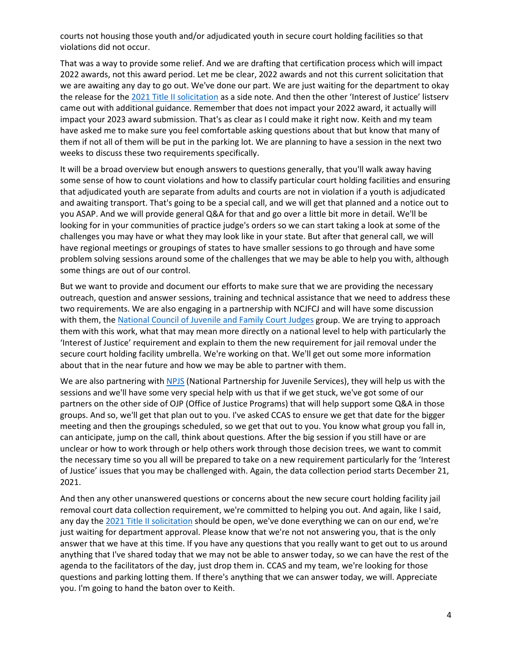courts not housing those youth and/or adjudicated youth in secure court holding facilities so that violations did not occur.

That was a way to provide some relief. And we are drafting that certification process which will impact 2022 awards, not this award period. Let me be clear, 2022 awards and not this current solicitation that we are awaiting any day to go out. We've done our part. We are just waiting for the department to okay the release for the [2021 Title II solicitation](https://ojjdp.ojp.gov/funding/FY21-Title-II-Solicitation-Files) as a side note. And then the other 'Interest of Justice' listserv came out with additional guidance. Remember that does not impact your 2022 award, it actually will impact your 2023 award submission. That's as clear as I could make it right now. Keith and my team have asked me to make sure you feel comfortable asking questions about that but know that many of them if not all of them will be put in the parking lot. We are planning to have a session in the next two weeks to discuss these two requirements specifically.

It will be a broad overview but enough answers to questions generally, that you'll walk away having some sense of how to count violations and how to classify particular court holding facilities and ensuring that adjudicated youth are separate from adults and courts are not in violation if a youth is adjudicated and awaiting transport. That's going to be a special call, and we will get that planned and a notice out to you ASAP. And we will provide general Q&A for that and go over a little bit more in detail. We'll be looking for in your communities of practice judge's orders so we can start taking a look at some of the challenges you may have or what they may look like in your state. But after that general call, we will have regional meetings or groupings of states to have smaller sessions to go through and have some problem solving sessions around some of the challenges that we may be able to help you with, although some things are out of our control.

But we want to provide and document our efforts to make sure that we are providing the necessary outreach, question and answer sessions, training and technical assistance that we need to address these two requirements. We are also engaging in a partnership with NCJFCJ and will have some discussion with them, th[e National Council of Juvenile](https://www.ncjfcj.org/) and Family Court Judges group. We are trying to approach them with this work, what that may mean more directly on a national level to help with particularly the 'Interest of Justice' requirement and explain to them the new requirement for jail removal under the secure court holding facility umbrella. We're working on that. We'll get out some more information about that in the near future and how we may be able to partner with them.

We are also partnering with [NPJS](http://npjs.org/) (National Partnership for Juvenile Services), they will help us with the sessions and we'll have some very special help with us that if we get stuck, we've got some of our partners on the other side of OJP (Office of Justice Programs) that will help support some Q&A in those groups. And so, we'll get that plan out to you. I've asked CCAS to ensure we get that date for the bigger meeting and then the groupings scheduled, so we get that out to you. You know what group you fall in, can anticipate, jump on the call, think about questions. After the big session if you still have or are unclear or how to work through or help others work through those decision trees, we want to commit the necessary time so you all will be prepared to take on a new requirement particularly for the 'Interest of Justice' issues that you may be challenged with. Again, the data collection period starts December 21, 2021.

And then any other unanswered questions or concerns about the new secure court holding facility jail removal court data collection requirement, we're committed to helping you out. And again, like I said, any day the [2021 Title II solicitation](https://ojjdp.ojp.gov/funding/FY21-Title-II-Solicitation-Files.) should be open, we've done everything we can on our end, we're just waiting for department approval. Please know that we're not not answering you, that is the only answer that we have at this time. If you have any questions that you really want to get out to us around anything that I've shared today that we may not be able to answer today, so we can have the rest of the agenda to the facilitators of the day, just drop them in. CCAS and my team, we're looking for those questions and parking lotting them. If there's anything that we can answer today, we will. Appreciate you. I'm going to hand the baton over to Keith.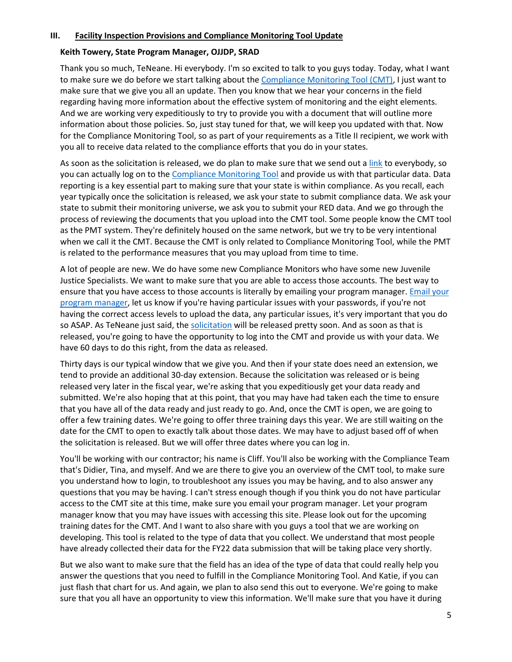#### **III. Facility Inspection Provisions and Compliance Monitoring Tool Update**

#### **Keith Towery, State Program Manager, OJJDP, SRAD**

Thank you so much, TeNeane. Hi everybody. I'm so excited to talk to you guys today. Today, what I want to make sure we do before we start talking about the Compliance [Monitoring Tool \(CMT\),](https://ojpsso.ojp.gov/) I just want to make sure that we give you all an update. Then you know that we hear your concerns in the field regarding having more information about the effective system of monitoring and the eight elements. And we are working very expeditiously to try to provide you with a document that will outline more information about those policies. So, just stay tuned for that, we will keep you updated with that. Now for the Compliance Monitoring Tool, so as part of your requirements as a Title II recipient, we work with you all to receive data related to the compliance efforts that you do in your states.

As soon as the solicitation is released, we do plan to make sure that we send out [a link](https://ojjdp.ojp.gov/funding/FY21-Title-II-Solicitation-Files.) to everybody, so you can actually log on to the [Compliance Monitoring Tool](https://ojpsso.ojp.gov/) and provide us with that particular data. Data reporting is a key essential part to making sure that your state is within compliance. As you recall, each year typically once the solicitation is released, we ask your state to submit compliance data. We ask your state to submit their monitoring universe, we ask you to submit your RED data. And we go through the process of reviewing the documents that you upload into the CMT tool. Some people know the CMT tool as the PMT system. They're definitely housed on the same network, but we try to be very intentional when we call it the CMT. Because the CMT is only related to Compliance Monitoring Tool, while the PMT is related to the performance measures that you may upload from time to time.

A lot of people are new. We do have some new Compliance Monitors who have some new Juvenile Justice Specialists. We want to make sure that you are able to access those accounts. The best way to ensure that you have access to those accounts is literally by emailing your program manager. Email your [program manager,](https://ojjdp.ojp.gov/states) let us know if you're having particular issues with your passwords, if you're not having the correct access levels to upload the data, any particular issues, it's very important that you do so ASAP. As TeNeane just said, the [solicitation](https://ojjdp.ojp.gov/funding/FY21-Title-II-Solicitation-Files) will be released pretty soon. And as soon as that is released, you're going to have the opportunity to log into the CMT and provide us with your data. We have 60 days to do this right, from the data as released.

Thirty days is our typical window that we give you. And then if your state does need an extension, we tend to provide an additional 30-day extension. Because the solicitation was released or is being released very later in the fiscal year, we're asking that you expeditiously get your data ready and submitted. We're also hoping that at this point, that you may have had taken each the time to ensure that you have all of the data ready and just ready to go. And, once the CMT is open, we are going to offer a few training dates. We're going to offer three training days this year. We are still waiting on the date for the CMT to open to exactly talk about those dates. We may have to adjust based off of when the solicitation is released. But we will offer three dates where you can log in.

You'll be working with our contractor; his name is Cliff. You'll also be working with the Compliance Team that's Didier, Tina, and myself. And we are there to give you an overview of the CMT tool, to make sure you understand how to login, to troubleshoot any issues you may be having, and to also answer any questions that you may be having. I can't stress enough though if you think you do not have particular access to the CMT site at this time, make sure you email your program manager. Let your program manager know that you may have issues with accessing this site. Please look out for the upcoming training dates for the CMT. And I want to also share with you guys a tool that we are working on developing. This tool is related to the type of data that you collect. We understand that most people have already collected their data for the FY22 data submission that will be taking place very shortly.

But we also want to make sure that the field has an idea of the type of data that could really help you answer the questions that you need to fulfill in the Compliance Monitoring Tool. And Katie, if you can just flash that chart for us. And again, we plan to also send this out to everyone. We're going to make sure that you all have an opportunity to view this information. We'll make sure that you have it during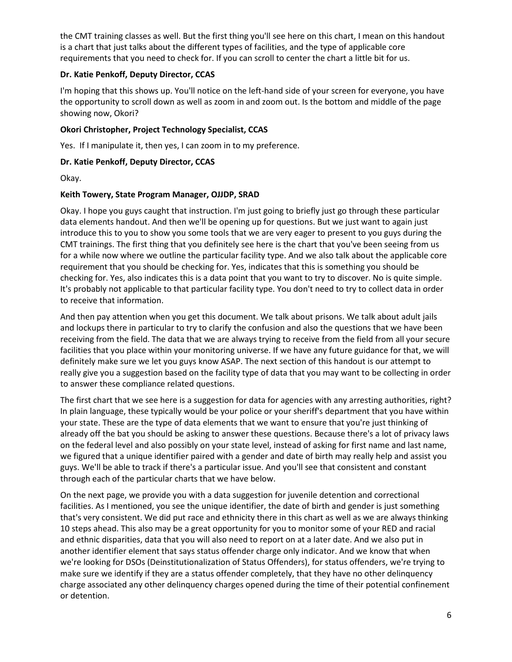the CMT training classes as well. But the first thing you'll see here on this chart, I mean on this handout is a chart that just talks about the different types of facilities, and the type of applicable core requirements that you need to check for. If you can scroll to center the chart a little bit for us.

## **Dr. Katie Penkoff, Deputy Director, CCAS**

I'm hoping that this shows up. You'll notice on the left-hand side of your screen for everyone, you have the opportunity to scroll down as well as zoom in and zoom out. Is the bottom and middle of the page showing now, Okori?

## **Okori Christopher, Project Technology Specialist, CCAS**

Yes. If I manipulate it, then yes, I can zoom in to my preference.

## **Dr. Katie Penkoff, Deputy Director, CCAS**

Okay.

#### **Keith Towery, State Program Manager, OJJDP, SRAD**

Okay. I hope you guys caught that instruction. I'm just going to briefly just go through these particular data elements handout. And then we'll be opening up for questions. But we just want to again just introduce this to you to show you some tools that we are very eager to present to you guys during the CMT trainings. The first thing that you definitely see here is the chart that you've been seeing from us for a while now where we outline the particular facility type. And we also talk about the applicable core requirement that you should be checking for. Yes, indicates that this is something you should be checking for. Yes, also indicates this is a data point that you want to try to discover. No is quite simple. It's probably not applicable to that particular facility type. You don't need to try to collect data in order to receive that information.

And then pay attention when you get this document. We talk about prisons. We talk about adult jails and lockups there in particular to try to clarify the confusion and also the questions that we have been receiving from the field. The data that we are always trying to receive from the field from all your secure facilities that you place within your monitoring universe. If we have any future guidance for that, we will definitely make sure we let you guys know ASAP. The next section of this handout is our attempt to really give you a suggestion based on the facility type of data that you may want to be collecting in order to answer these compliance related questions.

The first chart that we see here is a suggestion for data for agencies with any arresting authorities, right? In plain language, these typically would be your police or your sheriff's department that you have within your state. These are the type of data elements that we want to ensure that you're just thinking of already off the bat you should be asking to answer these questions. Because there's a lot of privacy laws on the federal level and also possibly on your state level, instead of asking for first name and last name, we figured that a unique identifier paired with a gender and date of birth may really help and assist you guys. We'll be able to track if there's a particular issue. And you'll see that consistent and constant through each of the particular charts that we have below.

On the next page, we provide you with a data suggestion for juvenile detention and correctional facilities. As I mentioned, you see the unique identifier, the date of birth and gender is just something that's very consistent. We did put race and ethnicity there in this chart as well as we are always thinking 10 steps ahead. This also may be a great opportunity for you to monitor some of your RED and racial and ethnic disparities, data that you will also need to report on at a later date. And we also put in another identifier element that says status offender charge only indicator. And we know that when we're looking for DSOs (Deinstitutionalization of Status Offenders), for status offenders, we're trying to make sure we identify if they are a status offender completely, that they have no other delinquency charge associated any other delinquency charges opened during the time of their potential confinement or detention.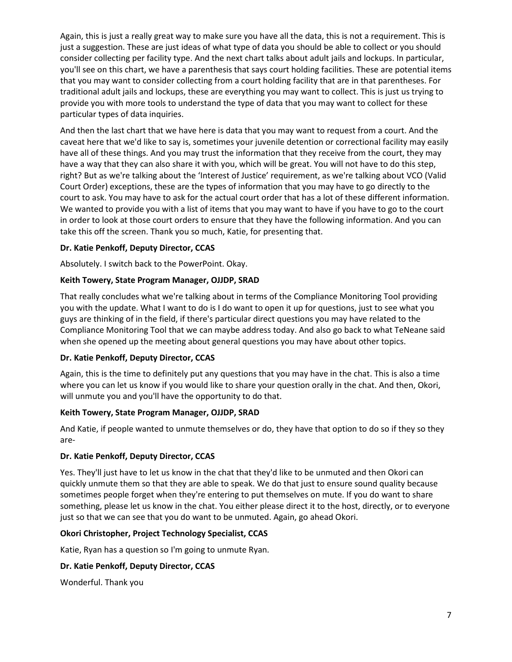Again, this is just a really great way to make sure you have all the data, this is not a requirement. This is just a suggestion. These are just ideas of what type of data you should be able to collect or you should consider collecting per facility type. And the next chart talks about adult jails and lockups. In particular, you'll see on this chart, we have a parenthesis that says court holding facilities. These are potential items that you may want to consider collecting from a court holding facility that are in that parentheses. For traditional adult jails and lockups, these are everything you may want to collect. This is just us trying to provide you with more tools to understand the type of data that you may want to collect for these particular types of data inquiries.

And then the last chart that we have here is data that you may want to request from a court. And the caveat here that we'd like to say is, sometimes your juvenile detention or correctional facility may easily have all of these things. And you may trust the information that they receive from the court, they may have a way that they can also share it with you, which will be great. You will not have to do this step, right? But as we're talking about the 'Interest of Justice' requirement, as we're talking about VCO (Valid Court Order) exceptions, these are the types of information that you may have to go directly to the court to ask. You may have to ask for the actual court order that has a lot of these different information. We wanted to provide you with a list of items that you may want to have if you have to go to the court in order to look at those court orders to ensure that they have the following information. And you can take this off the screen. Thank you so much, Katie, for presenting that.

## **Dr. Katie Penkoff, Deputy Director, CCAS**

Absolutely. I switch back to the PowerPoint. Okay.

## **Keith Towery, State Program Manager, OJJDP, SRAD**

That really concludes what we're talking about in terms of the Compliance Monitoring Tool providing you with the update. What I want to do is I do want to open it up for questions, just to see what you guys are thinking of in the field, if there's particular direct questions you may have related to the Compliance Monitoring Tool that we can maybe address today. And also go back to what TeNeane said when she opened up the meeting about general questions you may have about other topics.

#### **Dr. Katie Penkoff, Deputy Director, CCAS**

Again, this is the time to definitely put any questions that you may have in the chat. This is also a time where you can let us know if you would like to share your question orally in the chat. And then, Okori, will unmute you and you'll have the opportunity to do that.

#### **Keith Towery, State Program Manager, OJJDP, SRAD**

And Katie, if people wanted to unmute themselves or do, they have that option to do so if they so they are-

#### **Dr. Katie Penkoff, Deputy Director, CCAS**

Yes. They'll just have to let us know in the chat that they'd like to be unmuted and then Okori can quickly unmute them so that they are able to speak. We do that just to ensure sound quality because sometimes people forget when they're entering to put themselves on mute. If you do want to share something, please let us know in the chat. You either please direct it to the host, directly, or to everyone just so that we can see that you do want to be unmuted. Again, go ahead Okori.

#### **Okori Christopher, Project Technology Specialist, CCAS**

Katie, Ryan has a question so I'm going to unmute Ryan.

#### **Dr. Katie Penkoff, Deputy Director, CCAS**

Wonderful. Thank you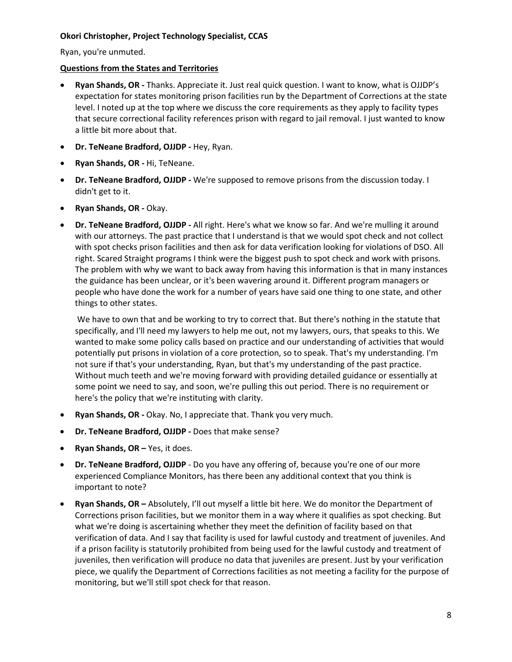## **Okori Christopher, Project Technology Specialist, CCAS**

Ryan, you're unmuted.

#### **Questions from the States and Territories**

- **Ryan Shands, OR -** Thanks. Appreciate it. Just real quick question. I want to know, what is OJJDP's expectation for states monitoring prison facilities run by the Department of Corrections at the state level. I noted up at the top where we discuss the core requirements as they apply to facility types that secure correctional facility references prison with regard to jail removal. I just wanted to know a little bit more about that.
- **Dr. TeNeane Bradford, OJJDP -** Hey, Ryan.
- **Ryan Shands, OR -** Hi, TeNeane.
- **Dr. TeNeane Bradford, OJJDP -** We're supposed to remove prisons from the discussion today. I didn't get to it.
- **Ryan Shands, OR -** Okay.
- **Dr. TeNeane Bradford, OJJDP -** All right. Here's what we know so far. And we're mulling it around with our attorneys. The past practice that I understand is that we would spot check and not collect with spot checks prison facilities and then ask for data verification looking for violations of DSO. All right. Scared Straight programs I think were the biggest push to spot check and work with prisons. The problem with why we want to back away from having this information is that in many instances the guidance has been unclear, or it's been wavering around it. Different program managers or people who have done the work for a number of years have said one thing to one state, and other things to other states.

We have to own that and be working to try to correct that. But there's nothing in the statute that specifically, and I'll need my lawyers to help me out, not my lawyers, ours, that speaks to this. We wanted to make some policy calls based on practice and our understanding of activities that would potentially put prisons in violation of a core protection, so to speak. That's my understanding. I'm not sure if that's your understanding, Ryan, but that's my understanding of the past practice. Without much teeth and we're moving forward with providing detailed guidance or essentially at some point we need to say, and soon, we're pulling this out period. There is no requirement or here's the policy that we're instituting with clarity.

- **Ryan Shands, OR -** Okay. No, I appreciate that. Thank you very much.
- **Dr. TeNeane Bradford, OJJDP -** Does that make sense?
- **Ryan Shands, OR –** Yes, it does.
- **Dr. TeNeane Bradford, OJJDP** Do you have any offering of, because you're one of our more experienced Compliance Monitors, has there been any additional context that you think is important to note?
- **Ryan Shands, OR –** Absolutely, I'll out myself a little bit here. We do monitor the Department of Corrections prison facilities, but we monitor them in a way where it qualifies as spot checking. But what we're doing is ascertaining whether they meet the definition of facility based on that verification of data. And I say that facility is used for lawful custody and treatment of juveniles. And if a prison facility is statutorily prohibited from being used for the lawful custody and treatment of juveniles, then verification will produce no data that juveniles are present. Just by your verification piece, we qualify the Department of Corrections facilities as not meeting a facility for the purpose of monitoring, but we'll still spot check for that reason.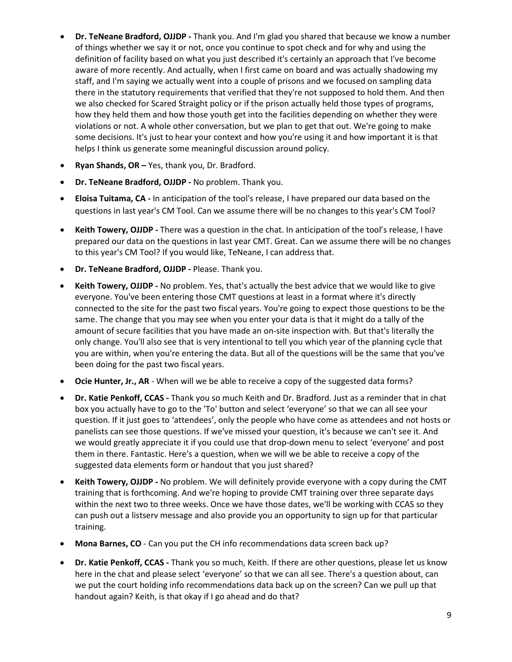- **Dr. TeNeane Bradford, OJJDP -** Thank you. And I'm glad you shared that because we know a number of things whether we say it or not, once you continue to spot check and for why and using the definition of facility based on what you just described it's certainly an approach that I've become aware of more recently. And actually, when I first came on board and was actually shadowing my staff, and I'm saying we actually went into a couple of prisons and we focused on sampling data there in the statutory requirements that verified that they're not supposed to hold them. And then we also checked for Scared Straight policy or if the prison actually held those types of programs, how they held them and how those youth get into the facilities depending on whether they were violations or not. A whole other conversation, but we plan to get that out. We're going to make some decisions. It's just to hear your context and how you're using it and how important it is that helps I think us generate some meaningful discussion around policy.
- **Ryan Shands, OR –** Yes, thank you, Dr. Bradford.
- **Dr. TeNeane Bradford, OJJDP -** No problem. Thank you.
- **Eloisa Tuitama, CA -** In anticipation of the tool's release, I have prepared our data based on the questions in last year's CM Tool. Can we assume there will be no changes to this year's CM Tool?
- **Keith Towery, OJJDP -** There was a question in the chat. In anticipation of the tool's release, I have prepared our data on the questions in last year CMT. Great. Can we assume there will be no changes to this year's CM Tool? If you would like, TeNeane, I can address that.
- **Dr. TeNeane Bradford, OJJDP -** Please. Thank you.
- **Keith Towery, OJJDP -** No problem. Yes, that's actually the best advice that we would like to give everyone. You've been entering those CMT questions at least in a format where it's directly connected to the site for the past two fiscal years. You're going to expect those questions to be the same. The change that you may see when you enter your data is that it might do a tally of the amount of secure facilities that you have made an on-site inspection with. But that's literally the only change. You'll also see that is very intentional to tell you which year of the planning cycle that you are within, when you're entering the data. But all of the questions will be the same that you've been doing for the past two fiscal years.
- **Ocie Hunter, Jr., AR** When will we be able to receive a copy of the suggested data forms?
- **Dr. Katie Penkoff, CCAS -** Thank you so much Keith and Dr. Bradford. Just as a reminder that in chat box you actually have to go to the 'To' button and select 'everyone' so that we can all see your question. If it just goes to 'attendees', only the people who have come as attendees and not hosts or panelists can see those questions. If we've missed your question, it's because we can't see it. And we would greatly appreciate it if you could use that drop-down menu to select 'everyone' and post them in there. Fantastic. Here's a question, when we will we be able to receive a copy of the suggested data elements form or handout that you just shared?
- **Keith Towery, OJJDP -** No problem. We will definitely provide everyone with a copy during the CMT training that is forthcoming. And we're hoping to provide CMT training over three separate days within the next two to three weeks. Once we have those dates, we'll be working with CCAS so they can push out a listserv message and also provide you an opportunity to sign up for that particular training.
- **Mona Barnes, CO** Can you put the CH info recommendations data screen back up?
- **Dr. Katie Penkoff, CCAS -** Thank you so much, Keith. If there are other questions, please let us know here in the chat and please select 'everyone' so that we can all see. There's a question about, can we put the court holding info recommendations data back up on the screen? Can we pull up that handout again? Keith, is that okay if I go ahead and do that?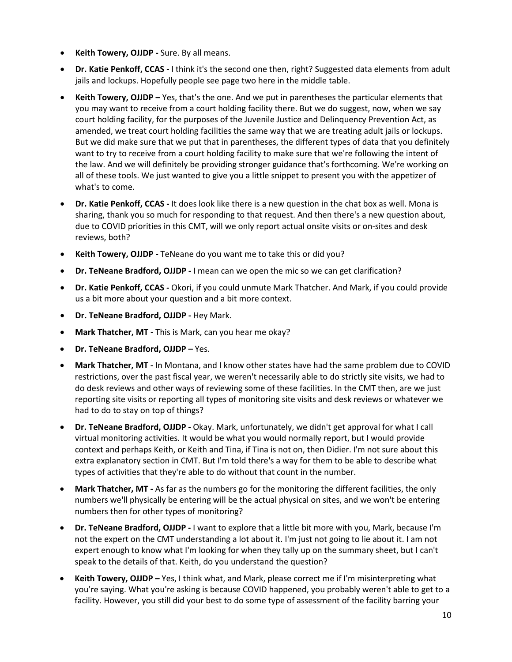- **Keith Towery, OJJDP -** Sure. By all means.
- **Dr. Katie Penkoff, CCAS -** I think it's the second one then, right? Suggested data elements from adult jails and lockups. Hopefully people see page two here in the middle table.
- **Keith Towery, OJJDP –** Yes, that's the one. And we put in parentheses the particular elements that you may want to receive from a court holding facility there. But we do suggest, now, when we say court holding facility, for the purposes of the Juvenile Justice and Delinquency Prevention Act, as amended, we treat court holding facilities the same way that we are treating adult jails or lockups. But we did make sure that we put that in parentheses, the different types of data that you definitely want to try to receive from a court holding facility to make sure that we're following the intent of the law. And we will definitely be providing stronger guidance that's forthcoming. We're working on all of these tools. We just wanted to give you a little snippet to present you with the appetizer of what's to come.
- **Dr. Katie Penkoff, CCAS -** It does look like there is a new question in the chat box as well. Mona is sharing, thank you so much for responding to that request. And then there's a new question about, due to COVID priorities in this CMT, will we only report actual onsite visits or on-sites and desk reviews, both?
- **Keith Towery, OJJDP -** TeNeane do you want me to take this or did you?
- **Dr. TeNeane Bradford, OJJDP -** I mean can we open the mic so we can get clarification?
- **Dr. Katie Penkoff, CCAS -** Okori, if you could unmute Mark Thatcher. And Mark, if you could provide us a bit more about your question and a bit more context.
- **Dr. TeNeane Bradford, OJJDP -** Hey Mark.
- **Mark Thatcher, MT -** This is Mark, can you hear me okay?
- **Dr. TeNeane Bradford, OJJDP –** Yes.
- **Mark Thatcher, MT -** In Montana, and I know other states have had the same problem due to COVID restrictions, over the past fiscal year, we weren't necessarily able to do strictly site visits, we had to do desk reviews and other ways of reviewing some of these facilities. In the CMT then, are we just reporting site visits or reporting all types of monitoring site visits and desk reviews or whatever we had to do to stay on top of things?
- **Dr. TeNeane Bradford, OJJDP -** Okay. Mark, unfortunately, we didn't get approval for what I call virtual monitoring activities. It would be what you would normally report, but I would provide context and perhaps Keith, or Keith and Tina, if Tina is not on, then Didier. I'm not sure about this extra explanatory section in CMT. But I'm told there's a way for them to be able to describe what types of activities that they're able to do without that count in the number.
- **Mark Thatcher, MT -** As far as the numbers go for the monitoring the different facilities, the only numbers we'll physically be entering will be the actual physical on sites, and we won't be entering numbers then for other types of monitoring?
- **Dr. TeNeane Bradford, OJJDP -** I want to explore that a little bit more with you, Mark, because I'm not the expert on the CMT understanding a lot about it. I'm just not going to lie about it. I am not expert enough to know what I'm looking for when they tally up on the summary sheet, but I can't speak to the details of that. Keith, do you understand the question?
- **Keith Towery, OJJDP –** Yes, I think what, and Mark, please correct me if I'm misinterpreting what you're saying. What you're asking is because COVID happened, you probably weren't able to get to a facility. However, you still did your best to do some type of assessment of the facility barring your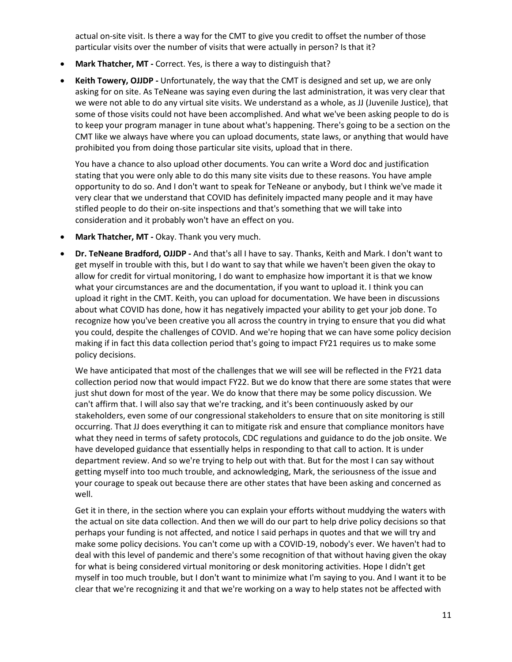actual on-site visit. Is there a way for the CMT to give you credit to offset the number of those particular visits over the number of visits that were actually in person? Is that it?

- **Mark Thatcher, MT -** Correct. Yes, is there a way to distinguish that?
- **Keith Towery, OJJDP -** Unfortunately, the way that the CMT is designed and set up, we are only asking for on site. As TeNeane was saying even during the last administration, it was very clear that we were not able to do any virtual site visits. We understand as a whole, as JJ (Juvenile Justice), that some of those visits could not have been accomplished. And what we've been asking people to do is to keep your program manager in tune about what's happening. There's going to be a section on the CMT like we always have where you can upload documents, state laws, or anything that would have prohibited you from doing those particular site visits, upload that in there.

You have a chance to also upload other documents. You can write a Word doc and justification stating that you were only able to do this many site visits due to these reasons. You have ample opportunity to do so. And I don't want to speak for TeNeane or anybody, but I think we've made it very clear that we understand that COVID has definitely impacted many people and it may have stifled people to do their on-site inspections and that's something that we will take into consideration and it probably won't have an effect on you.

- **Mark Thatcher, MT -** Okay. Thank you very much.
- **Dr. TeNeane Bradford, OJJDP -** And that's all I have to say. Thanks, Keith and Mark. I don't want to get myself in trouble with this, but I do want to say that while we haven't been given the okay to allow for credit for virtual monitoring, I do want to emphasize how important it is that we know what your circumstances are and the documentation, if you want to upload it. I think you can upload it right in the CMT. Keith, you can upload for documentation. We have been in discussions about what COVID has done, how it has negatively impacted your ability to get your job done. To recognize how you've been creative you all across the country in trying to ensure that you did what you could, despite the challenges of COVID. And we're hoping that we can have some policy decision making if in fact this data collection period that's going to impact FY21 requires us to make some policy decisions.

We have anticipated that most of the challenges that we will see will be reflected in the FY21 data collection period now that would impact FY22. But we do know that there are some states that were just shut down for most of the year. We do know that there may be some policy discussion. We can't affirm that. I will also say that we're tracking, and it's been continuously asked by our stakeholders, even some of our congressional stakeholders to ensure that on site monitoring is still occurring. That JJ does everything it can to mitigate risk and ensure that compliance monitors have what they need in terms of safety protocols, CDC regulations and guidance to do the job onsite. We have developed guidance that essentially helps in responding to that call to action. It is under department review. And so we're trying to help out with that. But for the most I can say without getting myself into too much trouble, and acknowledging, Mark, the seriousness of the issue and your courage to speak out because there are other states that have been asking and concerned as well.

Get it in there, in the section where you can explain your efforts without muddying the waters with the actual on site data collection. And then we will do our part to help drive policy decisions so that perhaps your funding is not affected, and notice I said perhaps in quotes and that we will try and make some policy decisions. You can't come up with a COVID-19, nobody's ever. We haven't had to deal with this level of pandemic and there's some recognition of that without having given the okay for what is being considered virtual monitoring or desk monitoring activities. Hope I didn't get myself in too much trouble, but I don't want to minimize what I'm saying to you. And I want it to be clear that we're recognizing it and that we're working on a way to help states not be affected with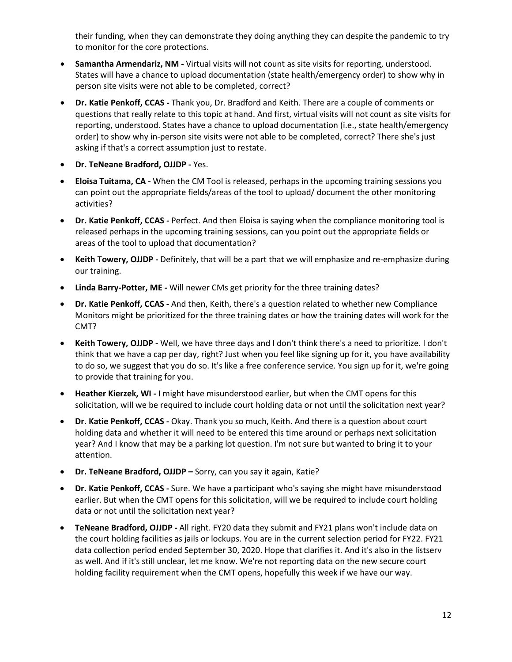their funding, when they can demonstrate they doing anything they can despite the pandemic to try to monitor for the core protections.

- **Samantha Armendariz, NM -** Virtual visits will not count as site visits for reporting, understood. States will have a chance to upload documentation (state health/emergency order) to show why in person site visits were not able to be completed, correct?
- **Dr. Katie Penkoff, CCAS -** Thank you, Dr. Bradford and Keith. There are a couple of comments or questions that really relate to this topic at hand. And first, virtual visits will not count as site visits for reporting, understood. States have a chance to upload documentation (i.e., state health/emergency order) to show why in-person site visits were not able to be completed, correct? There she's just asking if that's a correct assumption just to restate.
- **Dr. TeNeane Bradford, OJJDP -** Yes.
- **Eloisa Tuitama, CA -** When the CM Tool is released, perhaps in the upcoming training sessions you can point out the appropriate fields/areas of the tool to upload/ document the other monitoring activities?
- **Dr. Katie Penkoff, CCAS -** Perfect. And then Eloisa is saying when the compliance monitoring tool is released perhaps in the upcoming training sessions, can you point out the appropriate fields or areas of the tool to upload that documentation?
- **Keith Towery, OJJDP -** Definitely, that will be a part that we will emphasize and re-emphasize during our training.
- **Linda Barry-Potter, ME -** Will newer CMs get priority for the three training dates?
- **Dr. Katie Penkoff, CCAS -** And then, Keith, there's a question related to whether new Compliance Monitors might be prioritized for the three training dates or how the training dates will work for the CMT?
- **Keith Towery, OJJDP -** Well, we have three days and I don't think there's a need to prioritize. I don't think that we have a cap per day, right? Just when you feel like signing up for it, you have availability to do so, we suggest that you do so. It's like a free conference service. You sign up for it, we're going to provide that training for you.
- **Heather Kierzek, WI -** I might have misunderstood earlier, but when the CMT opens for this solicitation, will we be required to include court holding data or not until the solicitation next year?
- **Dr. Katie Penkoff, CCAS -** Okay. Thank you so much, Keith. And there is a question about court holding data and whether it will need to be entered this time around or perhaps next solicitation year? And I know that may be a parking lot question. I'm not sure but wanted to bring it to your attention.
- **Dr. TeNeane Bradford, OJJDP –** Sorry, can you say it again, Katie?
- **Dr. Katie Penkoff, CCAS -** Sure. We have a participant who's saying she might have misunderstood earlier. But when the CMT opens for this solicitation, will we be required to include court holding data or not until the solicitation next year?
- **TeNeane Bradford, OJJDP -** All right. FY20 data they submit and FY21 plans won't include data on the court holding facilities as jails or lockups. You are in the current selection period for FY22. FY21 data collection period ended September 30, 2020. Hope that clarifies it. And it's also in the listserv as well. And if it's still unclear, let me know. We're not reporting data on the new secure court holding facility requirement when the CMT opens, hopefully this week if we have our way.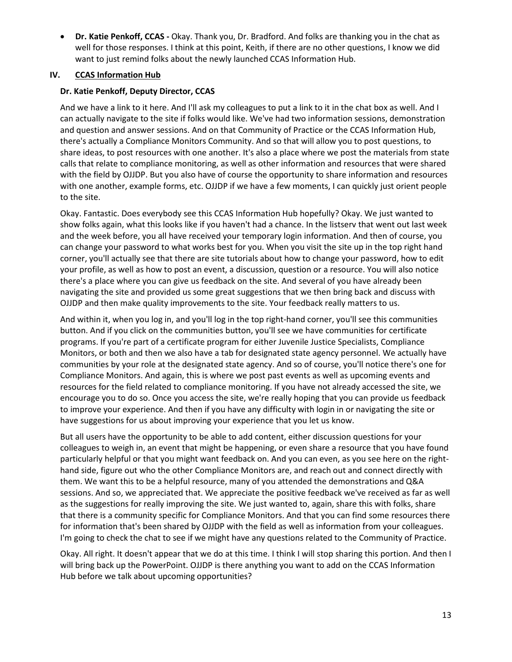• **Dr. Katie Penkoff, CCAS -** Okay. Thank you, Dr. Bradford. And folks are thanking you in the chat as well for those responses. I think at this point, Keith, if there are no other questions, I know we did want to just remind folks about the newly launched CCAS Information Hub.

## **IV. CCAS Information Hub**

## **Dr. Katie Penkoff, Deputy Director, CCAS**

And we have a link to it here. And I'll ask my colleagues to put a link to it in the chat box as well. And I can actually navigate to the site if folks would like. We've had two information sessions, demonstration and question and answer sessions. And on that Community of Practice or the CCAS Information Hub, there's actually a Compliance Monitors Community. And so that will allow you to post questions, to share ideas, to post resources with one another. It's also a place where we post the materials from state calls that relate to compliance monitoring, as well as other information and resources that were shared with the field by OJJDP. But you also have of course the opportunity to share information and resources with one another, example forms, etc. OJJDP if we have a few moments, I can quickly just orient people to the site.

Okay. Fantastic. Does everybody see this CCAS Information Hub hopefully? Okay. We just wanted to show folks again, what this looks like if you haven't had a chance. In the listserv that went out last week and the week before, you all have received your temporary login information. And then of course, you can change your password to what works best for you. When you visit the site up in the top right hand corner, you'll actually see that there are site tutorials about how to change your password, how to edit your profile, as well as how to post an event, a discussion, question or a resource. You will also notice there's a place where you can give us feedback on the site. And several of you have already been navigating the site and provided us some great suggestions that we then bring back and discuss with OJJDP and then make quality improvements to the site. Your feedback really matters to us.

And within it, when you log in, and you'll log in the top right-hand corner, you'll see this communities button. And if you click on the communities button, you'll see we have communities for certificate programs. If you're part of a certificate program for either Juvenile Justice Specialists, Compliance Monitors, or both and then we also have a tab for designated state agency personnel. We actually have communities by your role at the designated state agency. And so of course, you'll notice there's one for Compliance Monitors. And again, this is where we post past events as well as upcoming events and resources for the field related to compliance monitoring. If you have not already accessed the site, we encourage you to do so. Once you access the site, we're really hoping that you can provide us feedback to improve your experience. And then if you have any difficulty with login in or navigating the site or have suggestions for us about improving your experience that you let us know.

But all users have the opportunity to be able to add content, either discussion questions for your colleagues to weigh in, an event that might be happening, or even share a resource that you have found particularly helpful or that you might want feedback on. And you can even, as you see here on the righthand side, figure out who the other Compliance Monitors are, and reach out and connect directly with them. We want this to be a helpful resource, many of you attended the demonstrations and Q&A sessions. And so, we appreciated that. We appreciate the positive feedback we've received as far as well as the suggestions for really improving the site. We just wanted to, again, share this with folks, share that there is a community specific for Compliance Monitors. And that you can find some resources there for information that's been shared by OJJDP with the field as well as information from your colleagues. I'm going to check the chat to see if we might have any questions related to the Community of Practice.

Okay. All right. It doesn't appear that we do at this time. I think I will stop sharing this portion. And then I will bring back up the PowerPoint. OJJDP is there anything you want to add on the CCAS Information Hub before we talk about upcoming opportunities?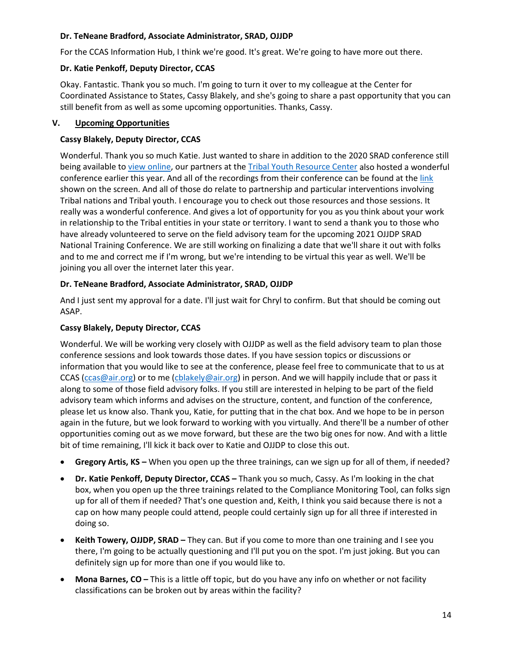## **Dr. TeNeane Bradford, Associate Administrator, SRAD, OJJDP**

For the CCAS Information Hub, I think we're good. It's great. We're going to have more out there.

## **Dr. Katie Penkoff, Deputy Director, CCAS**

Okay. Fantastic. Thank you so much. I'm going to turn it over to my colleague at the Center for Coordinated Assistance to States, Cassy Blakely, and she's going to share a past opportunity that you can still benefit from as well as some upcoming opportunities. Thanks, Cassy.

## **V. Upcoming Opportunities**

## **Cassy Blakely, Deputy Director, CCAS**

Wonderful. Thank you so much Katie. Just wanted to share in addition to the 2020 SRAD conference still being available to [view online,](https://air.6connex.com/event/SRADConference/login) our partners at the [Tribal Youth Resource Center](https://www.tribalyouthprogram.org/) also hosted a wonderful conference earlier this year. And all of the recordings from their conference can be found at the [link](https://triballawandpolicyinstitute.6connex.com/event/Training/tyrc/login) shown on the screen. And all of those do relate to partnership and particular interventions involving Tribal nations and Tribal youth. I encourage you to check out those resources and those sessions. It really was a wonderful conference. And gives a lot of opportunity for you as you think about your work in relationship to the Tribal entities in your state or territory. I want to send a thank you to those who have already volunteered to serve on the field advisory team for the upcoming 2021 OJJDP SRAD National Training Conference. We are still working on finalizing a date that we'll share it out with folks and to me and correct me if I'm wrong, but we're intending to be virtual this year as well. We'll be joining you all over the internet later this year.

## **Dr. TeNeane Bradford, Associate Administrator, SRAD, OJJDP**

And I just sent my approval for a date. I'll just wait for Chryl to confirm. But that should be coming out ASAP.

## **Cassy Blakely, Deputy Director, CCAS**

Wonderful. We will be working very closely with OJJDP as well as the field advisory team to plan those conference sessions and look towards those dates. If you have session topics or discussions or information that you would like to see at the conference, please feel free to communicate that to us at CCAS [\(ccas@air.org\)](file://dc1fs/dc1ehd/share/CCAS/Year%207/OJJDP%20Monthly%20Calls%20with%20the%20States/5.12.21/ccas@air.org) or to me [\(cblakely@air.org\)](file://dc1fs/dc1ehd/share/CCAS/Year%207/OJJDP%20Monthly%20Calls%20with%20the%20States/5.12.21/cblakely@air.org) in person. And we will happily include that or pass it along to some of those field advisory folks. If you still are interested in helping to be part of the field advisory team which informs and advises on the structure, content, and function of the conference, please let us know also. Thank you, Katie, for putting that in the chat box. And we hope to be in person again in the future, but we look forward to working with you virtually. And there'll be a number of other opportunities coming out as we move forward, but these are the two big ones for now. And with a little bit of time remaining, I'll kick it back over to Katie and OJJDP to close this out.

- **Gregory Artis, KS –** When you open up the three trainings, can we sign up for all of them, if needed?
- **Dr. Katie Penkoff, Deputy Director, CCAS –** Thank you so much, Cassy. As I'm looking in the chat box, when you open up the three trainings related to the Compliance Monitoring Tool, can folks sign up for all of them if needed? That's one question and, Keith, I think you said because there is not a cap on how many people could attend, people could certainly sign up for all three if interested in doing so.
- **Keith Towery, OJJDP, SRAD –** They can. But if you come to more than one training and I see you there, I'm going to be actually questioning and I'll put you on the spot. I'm just joking. But you can definitely sign up for more than one if you would like to.
- **Mona Barnes, CO –** This is a little off topic, but do you have any info on whether or not facility classifications can be broken out by areas within the facility?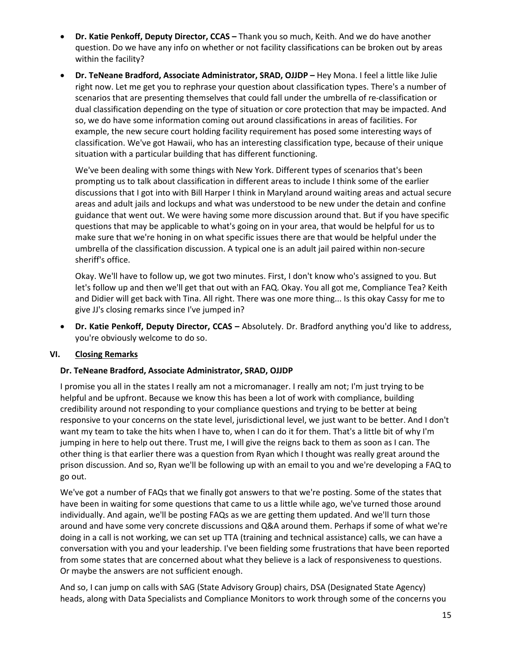- **Dr. Katie Penkoff, Deputy Director, CCAS –** Thank you so much, Keith. And we do have another question. Do we have any info on whether or not facility classifications can be broken out by areas within the facility?
- **Dr. TeNeane Bradford, Associate Administrator, SRAD, OJJDP –** Hey Mona. I feel a little like Julie right now. Let me get you to rephrase your question about classification types. There's a number of scenarios that are presenting themselves that could fall under the umbrella of re-classification or dual classification depending on the type of situation or core protection that may be impacted. And so, we do have some information coming out around classifications in areas of facilities. For example, the new secure court holding facility requirement has posed some interesting ways of classification. We've got Hawaii, who has an interesting classification type, because of their unique situation with a particular building that has different functioning.

We've been dealing with some things with New York. Different types of scenarios that's been prompting us to talk about classification in different areas to include I think some of the earlier discussions that I got into with Bill Harper I think in Maryland around waiting areas and actual secure areas and adult jails and lockups and what was understood to be new under the detain and confine guidance that went out. We were having some more discussion around that. But if you have specific questions that may be applicable to what's going on in your area, that would be helpful for us to make sure that we're honing in on what specific issues there are that would be helpful under the umbrella of the classification discussion. A typical one is an adult jail paired within non-secure sheriff's office.

Okay. We'll have to follow up, we got two minutes. First, I don't know who's assigned to you. But let's follow up and then we'll get that out with an FAQ. Okay. You all got me, Compliance Tea? Keith and Didier will get back with Tina. All right. There was one more thing... Is this okay Cassy for me to give JJ's closing remarks since I've jumped in?

• **Dr. Katie Penkoff, Deputy Director, CCAS –** Absolutely. Dr. Bradford anything you'd like to address, you're obviously welcome to do so.

#### **VI. Closing Remarks**

#### **Dr. TeNeane Bradford, Associate Administrator, SRAD, OJJDP**

I promise you all in the states I really am not a micromanager. I really am not; I'm just trying to be helpful and be upfront. Because we know this has been a lot of work with compliance, building credibility around not responding to your compliance questions and trying to be better at being responsive to your concerns on the state level, jurisdictional level, we just want to be better. And I don't want my team to take the hits when I have to, when I can do it for them. That's a little bit of why I'm jumping in here to help out there. Trust me, I will give the reigns back to them as soon as I can. The other thing is that earlier there was a question from Ryan which I thought was really great around the prison discussion. And so, Ryan we'll be following up with an email to you and we're developing a FAQ to go out.

We've got a number of FAQs that we finally got answers to that we're posting. Some of the states that have been in waiting for some questions that came to us a little while ago, we've turned those around individually. And again, we'll be posting FAQs as we are getting them updated. And we'll turn those around and have some very concrete discussions and Q&A around them. Perhaps if some of what we're doing in a call is not working, we can set up TTA (training and technical assistance) calls, we can have a conversation with you and your leadership. I've been fielding some frustrations that have been reported from some states that are concerned about what they believe is a lack of responsiveness to questions. Or maybe the answers are not sufficient enough.

And so, I can jump on calls with SAG (State Advisory Group) chairs, DSA (Designated State Agency) heads, along with Data Specialists and Compliance Monitors to work through some of the concerns you